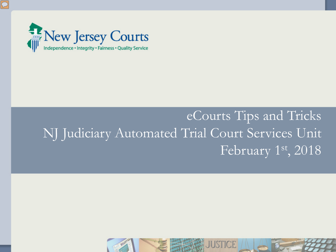

# eCourts Tips and Tricks NJ Judiciary Automated Trial Court Services Unit February 1st, 2018

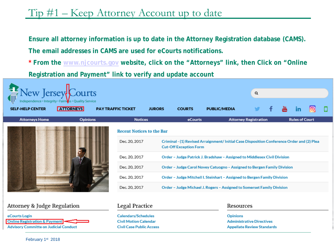## Tip #1 – Keep Attorney Account up to date

**Ensure all attorney information is up to date in the Attorney Registration database (CAMS).** 

**The email addresses in CAMS are used for eCourts notifications.**

**Civil Case Public Access** 

**\* From the [www.njcourts.gov](http://www.njcourts.gov/) website, click on the "Attorneys" link, then Click on "Online** 

**Registration and Payment" link to verify and update account**

| New Jersey Courts                               |                  |  |                                                     |                                                                                                                             |                                                                          |                     |                                              | Q |  |  |                       |  |  |
|-------------------------------------------------|------------------|--|-----------------------------------------------------|-----------------------------------------------------------------------------------------------------------------------------|--------------------------------------------------------------------------|---------------------|----------------------------------------------|---|--|--|-----------------------|--|--|
| <b>SELF-HELP CENTER</b>                         | <b>ATTORNEYS</b> |  | <b>PAY TRAFFIC TICKET</b>                           | <b>JURORS</b>                                                                                                               | <b>COURTS</b>                                                            | <b>PUBLIC/MEDIA</b> |                                              |   |  |  |                       |  |  |
| <b>Attorneys Home</b>                           | <b>Opinions</b>  |  | <b>Notices</b>                                      |                                                                                                                             | eCourts                                                                  |                     | <b>Attorney Registration</b>                 |   |  |  | <b>Rules of Court</b> |  |  |
|                                                 |                  |  | <b>Recent Notices to the Bar</b>                    |                                                                                                                             |                                                                          |                     |                                              |   |  |  |                       |  |  |
|                                                 |                  |  | Dec. 20, 2017                                       | Criminal - (1) Revised Arraignment/ Initial Case Disposition Conference Order and (2) Plea<br><b>Cut-Off Exception Form</b> |                                                                          |                     |                                              |   |  |  |                       |  |  |
|                                                 |                  |  | Dec. 20, 2017                                       |                                                                                                                             | Order - Judge Patrick J. Bradshaw - Assigned to Middlesex Civil Division |                     |                                              |   |  |  |                       |  |  |
|                                                 |                  |  | Dec. 20, 2017                                       |                                                                                                                             | Order - Judge Carol Novey Catuogno - Assigned to Bergen Family Division  |                     |                                              |   |  |  |                       |  |  |
|                                                 |                  |  | Dec. 20, 2017                                       |                                                                                                                             | Order - Judge Mitchell I. Steinhart - Assigned to Bergen Family Division |                     |                                              |   |  |  |                       |  |  |
|                                                 |                  |  | Dec. 20, 2017                                       |                                                                                                                             | Order - Judge Michael J. Rogers - Assigned to Somerset Family Division   |                     |                                              |   |  |  |                       |  |  |
|                                                 |                  |  |                                                     |                                                                                                                             |                                                                          |                     |                                              |   |  |  |                       |  |  |
| Attorney & Judge Regulation                     |                  |  | Legal Practice                                      |                                                                                                                             |                                                                          |                     | Resources                                    |   |  |  |                       |  |  |
| eCourts Login<br>Online Pegistration S. Payment |                  |  | <b>Calendars/Schedules</b><br>Civil Motion Calondar |                                                                                                                             |                                                                          |                     | <b>Opinions</b><br>Administrative Directives |   |  |  |                       |  |  |

**Appellate Review Standards** 

**Advisory Committe on Judicial Conduct**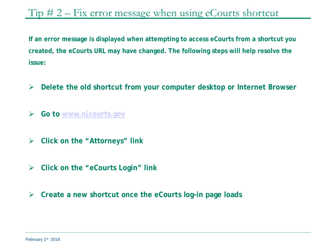#### Tip  $\# 2$  – Fix error message when using eCourts shortcut

**If an error message is displayed when attempting to access eCourts from a shortcut you created, the eCourts URL may have changed. The following steps will help resolve the issue:** 

- **Delete the old shortcut from your computer desktop or Internet Browser**
- **Go to [www.njcourts.gov](http://www.njcourts.gov/)**
- **Click on the "Attorneys" link**
- **Click on the "eCourts Login" link**
- **Create a new shortcut once the eCourts log-in page loads**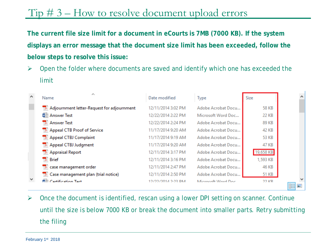## Tip # 3 – How to resolve document upload errors

**The current file size limit for a document in eCourts is 7MB (7000 KB). If the system displays an error message that the document size limit has been exceeded, follow the below steps to resolve this issue:**

 $\triangleright$  Open the folder where documents are saved and identify which one has exceeded the limit

| $\sim$       | ∼<br>Name                                  | Date modified      | <b>Type</b>        | Size      |     |
|--------------|--------------------------------------------|--------------------|--------------------|-----------|-----|
|              | Adjournment letter-Request for adjournment | 12/11/2014 3:02 PM | Adobe Acrobat Docu | 58 KB     |     |
|              | ® Answer Test                              | 12/22/2014 2:22 PM | Microsoft Word Doc | 22 KB     |     |
|              | Answer Test                                | 12/22/2014 2:24 PM | Adobe Acrobat Docu | 89 KB     |     |
|              | Appeal CTB Proof of Service                | 11/17/2014 9:20 AM | Adobe Acrobat Docu | 42 KB     |     |
|              | Appeal CTBJ Complaint                      | 11/17/2014 9:19 AM | Adobe Acrobat Docu | 53 KB     |     |
|              | Appeal CTBJ Judgment                       | 11/17/2014 9:20 AM | Adobe Acrobat Docu | 47 KB     |     |
|              | Appraisal Report                           | 12/11/2014 3:17 PM | Adobe Acrobat Docu | 19,658 KB |     |
|              | $\rightarrow$ Brief                        | 12/11/2014 3:16 PM | Adobe Acrobat Docu | 1,593 KB  |     |
|              | Lease management order                     | 12/11/2014 2:47 PM | Adobe Acrobat Docu | 46 KB     |     |
|              | 7. Case management plan (trial notice)     | 12/11/2014 2:50 PM | Adobe Acrobat Docu | 51 KB     |     |
| $\mathbf{v}$ | <sup>商当</sup> Certification Test           | 12/22/2014 2-23 DM | Microsoft Word Doc | 22 KR     | 日二二 |

 $\triangleright$  Once the document is identified, rescan using a lower DPI setting on scanner. Continue until the size is below 7000 KB or break the document into smaller parts. Retry submitting the filing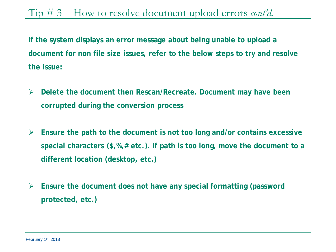Tip # 3 – How to resolve document upload errors *cont'd.*

**If the system displays an error message about being unable to upload a document for non file size issues, refer to the below steps to try and resolve the issue:**

- **Delete the document then Rescan/Recreate. Document may have been corrupted during the conversion process**
- **Ensure the path to the document is not too long and/or contains excessive special characters (\$,%,# etc.). If path is too long, move the document to a different location (desktop, etc.)**
- **Ensure the document does not have any special formatting (password protected, etc.)**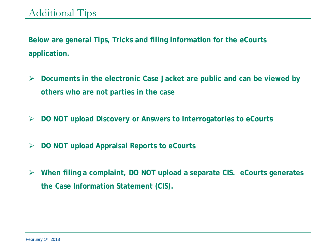**Below are general Tips, Tricks and filing information for the eCourts application.**

- **Documents in the electronic Case Jacket are public and can be viewed by others who are not parties in the case**
- **DO NOT upload Discovery or Answers to Interrogatories to eCourts**
- **DO NOT upload Appraisal Reports to eCourts**
- **When filing a complaint, DO NOT upload a separate CIS. eCourts generates the Case Information Statement (CIS).**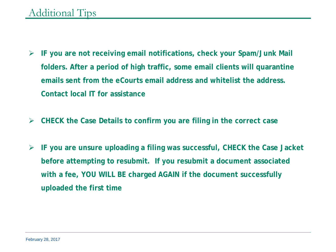- **IF you are not receiving email notifications, check your Spam/Junk Mail folders. After a period of high traffic, some email clients will quarantine emails sent from the eCourts email address and whitelist the address. Contact local IT for assistance**
- **CHECK the Case Details to confirm you are filing in the correct case**
- **IF you are unsure uploading a filing was successful, CHECK the Case Jacket before attempting to resubmit. If you resubmit a document associated with a fee, YOU WILL BE charged AGAIN if the document successfully uploaded the first time**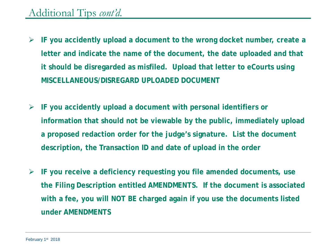#### Additional Tips *cont'd.*

- **IF you accidently upload a document to the wrong docket number, create a letter and indicate the name of the document, the date uploaded and that it should be disregarded as misfiled. Upload that letter to eCourts using MISCELLANEOUS/DISREGARD UPLOADED DOCUMENT**
- **IF you accidently upload a document with personal identifiers or information that should not be viewable by the public, immediately upload a proposed redaction order for the judge's signature. List the document description, the Transaction ID and date of upload in the order**
- **IF you receive a deficiency requesting you file amended documents, use the Filing Description entitled AMENDMENTS. If the document is associated with a fee, you will NOT BE charged again if you use the documents listed under AMENDMENTS**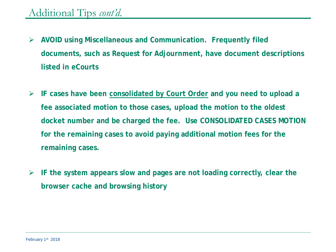- **AVOID using Miscellaneous and Communication. Frequently filed documents, such as Request for Adjournment, have document descriptions listed in eCourts**
- **IF cases have been consolidated by Court Order and you need to upload a fee associated motion to those cases, upload the motion to the oldest docket number and be charged the fee. Use CONSOLIDATED CASES MOTION for the remaining cases to avoid paying additional motion fees for the remaining cases.**
- **IF the system appears slow and pages are not loading correctly, clear the browser cache and browsing history**